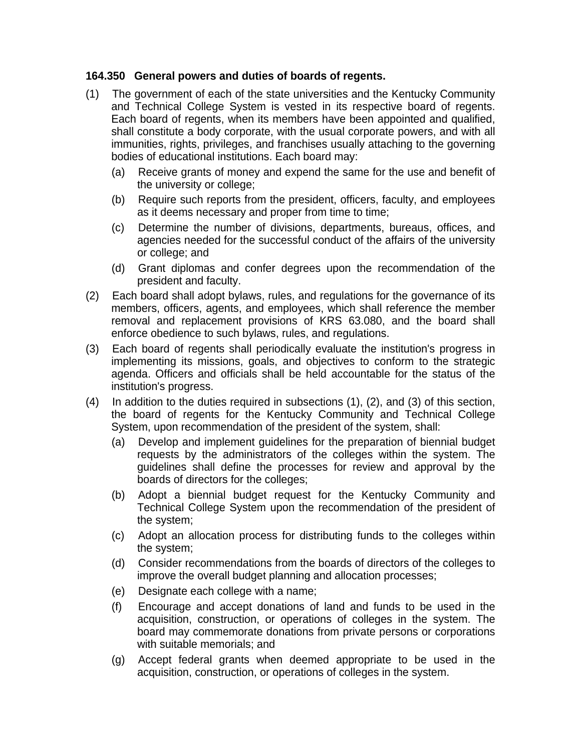## **164.350 General powers and duties of boards of regents.**

- (1) The government of each of the state universities and the Kentucky Community and Technical College System is vested in its respective board of regents. Each board of regents, when its members have been appointed and qualified, shall constitute a body corporate, with the usual corporate powers, and with all immunities, rights, privileges, and franchises usually attaching to the governing bodies of educational institutions. Each board may:
	- (a) Receive grants of money and expend the same for the use and benefit of the university or college;
	- (b) Require such reports from the president, officers, faculty, and employees as it deems necessary and proper from time to time;
	- (c) Determine the number of divisions, departments, bureaus, offices, and agencies needed for the successful conduct of the affairs of the university or college; and
	- (d) Grant diplomas and confer degrees upon the recommendation of the president and faculty.
- (2) Each board shall adopt bylaws, rules, and regulations for the governance of its members, officers, agents, and employees, which shall reference the member removal and replacement provisions of KRS 63.080, and the board shall enforce obedience to such bylaws, rules, and regulations.
- (3) Each board of regents shall periodically evaluate the institution's progress in implementing its missions, goals, and objectives to conform to the strategic agenda. Officers and officials shall be held accountable for the status of the institution's progress.
- (4) In addition to the duties required in subsections (1), (2), and (3) of this section, the board of regents for the Kentucky Community and Technical College System, upon recommendation of the president of the system, shall:
	- (a) Develop and implement guidelines for the preparation of biennial budget requests by the administrators of the colleges within the system. The guidelines shall define the processes for review and approval by the boards of directors for the colleges;
	- (b) Adopt a biennial budget request for the Kentucky Community and Technical College System upon the recommendation of the president of the system;
	- (c) Adopt an allocation process for distributing funds to the colleges within the system;
	- (d) Consider recommendations from the boards of directors of the colleges to improve the overall budget planning and allocation processes;
	- (e) Designate each college with a name;
	- (f) Encourage and accept donations of land and funds to be used in the acquisition, construction, or operations of colleges in the system. The board may commemorate donations from private persons or corporations with suitable memorials; and
	- (g) Accept federal grants when deemed appropriate to be used in the acquisition, construction, or operations of colleges in the system.